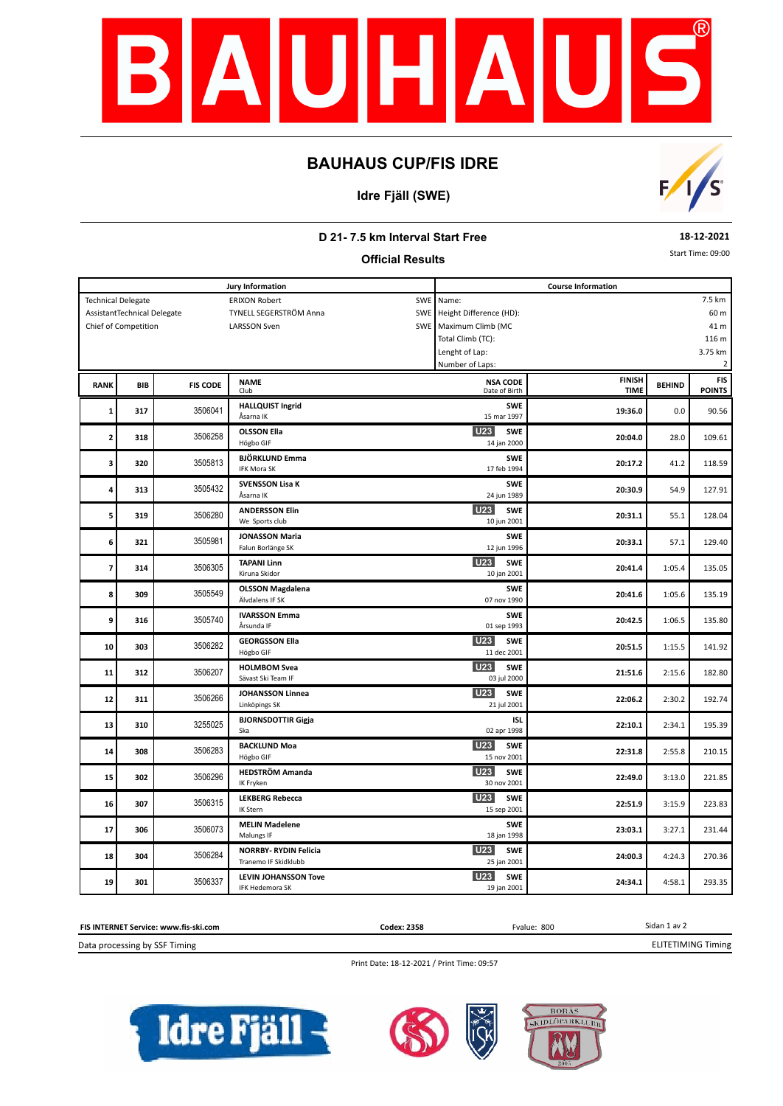

# **BAUHAUS CUP/FIS IDRE**

### **Idre Fjäll (SWE)**



### **D 21- 7.5 km Interval Start Free**

**Official Results**

**18-12-2021**

Start Time: 09:00

| <b>Jury Information</b>                                      |            |                 |                                         |  | <b>Course Information</b>        |               |               |                         |  |  |  |  |
|--------------------------------------------------------------|------------|-----------------|-----------------------------------------|--|----------------------------------|---------------|---------------|-------------------------|--|--|--|--|
| <b>Technical Delegate</b><br>SWE<br><b>ERIXON Robert</b>     |            |                 |                                         |  | Name:                            |               |               | 7.5 km                  |  |  |  |  |
| AssistantTechnical Delegate<br>TYNELL SEGERSTRÖM Anna<br>SWE |            |                 |                                         |  | Height Difference (HD):          | 60 m          |               |                         |  |  |  |  |
| <b>LARSSON Sven</b><br>Chief of Competition                  |            |                 |                                         |  | SWE Maximum Climb (MC            | 41 m          |               |                         |  |  |  |  |
|                                                              |            |                 |                                         |  | Total Climb (TC):                | 116 m         |               |                         |  |  |  |  |
|                                                              |            |                 |                                         |  | 3.75 km<br>Lenght of Lap:        |               |               |                         |  |  |  |  |
|                                                              |            |                 |                                         |  | Number of Laps:                  |               |               | $\overline{\mathbf{c}}$ |  |  |  |  |
|                                                              |            |                 |                                         |  |                                  | <b>FINISH</b> |               | <b>FIS</b>              |  |  |  |  |
| <b>RANK</b>                                                  | <b>BIB</b> | <b>FIS CODE</b> | <b>NAME</b><br>Club                     |  | <b>NSA CODE</b><br>Date of Birth | <b>TIME</b>   | <b>BEHIND</b> | <b>POINTS</b>           |  |  |  |  |
|                                                              |            |                 | <b>HALLQUIST Ingrid</b>                 |  | <b>SWE</b>                       |               |               |                         |  |  |  |  |
| $\mathbf{1}$                                                 | 317        | 3506041         | Åsarna IK                               |  | 15 mar 1997                      | 19:36.0       | 0.0           | 90.56                   |  |  |  |  |
|                                                              |            |                 | <b>OLSSON Ella</b>                      |  | <b>U23</b><br><b>SWE</b>         |               |               |                         |  |  |  |  |
| $\overline{\mathbf{c}}$                                      | 318        | 3506258         | Högbo GIF                               |  | 14 jan 2000                      | 20:04.0       | 28.0          | 109.61                  |  |  |  |  |
|                                                              |            |                 | <b>BJÖRKLUND Emma</b>                   |  | <b>SWE</b>                       |               |               |                         |  |  |  |  |
| 3                                                            | 320        | 3505813         | <b>IFK Mora SK</b>                      |  | 17 feb 1994                      | 20:17.2       | 41.2          | 118.59                  |  |  |  |  |
|                                                              |            |                 |                                         |  |                                  |               |               |                         |  |  |  |  |
| 4                                                            | 313        | 3505432         | <b>SVENSSON Lisa K</b><br>Åsarna IK     |  | <b>SWE</b><br>24 jun 1989        | 20:30.9       | 54.9          | 127.91                  |  |  |  |  |
|                                                              |            |                 |                                         |  |                                  |               |               |                         |  |  |  |  |
| 5                                                            | 319        | 3506280         | <b>ANDERSSON Elin</b><br>We Sports club |  | U23<br><b>SWE</b><br>10 jun 2001 | 20:31.1       | 55.1          | 128.04                  |  |  |  |  |
|                                                              |            |                 |                                         |  |                                  |               |               |                         |  |  |  |  |
| 6                                                            | 321        | 3505981         | <b>JONASSON Maria</b>                   |  | <b>SWE</b>                       | 20:33.1       | 57.1          | 129.40                  |  |  |  |  |
|                                                              |            |                 | Falun Borlänge SK                       |  | 12 jun 1996                      |               |               |                         |  |  |  |  |
| $\overline{\boldsymbol{7}}$                                  | 314        | 3506305         | <b>TAPANI Linn</b>                      |  | <b>U23</b><br><b>SWE</b>         | 20:41.4       | 1:05.4        | 135.05                  |  |  |  |  |
|                                                              |            |                 | Kiruna Skidor                           |  | 10 jan 2001                      |               |               |                         |  |  |  |  |
| 8                                                            | 309        | 3505549         | <b>OLSSON Magdalena</b>                 |  | <b>SWE</b>                       | 20:41.6       | 1:05.6        | 135.19                  |  |  |  |  |
|                                                              |            |                 | Älvdalens IF SK                         |  | 07 nov 1990                      |               |               |                         |  |  |  |  |
| 9                                                            | 316        | 3505740         | <b>IVARSSON Emma</b>                    |  | <b>SWE</b>                       | 20:42.5       | 1:06.5        | 135.80                  |  |  |  |  |
|                                                              |            |                 | Årsunda IF                              |  | 01 sep 1993                      |               |               |                         |  |  |  |  |
| 10                                                           | 303        | 3506282         | <b>GEORGSSON Ella</b>                   |  | <b>U23</b><br><b>SWE</b>         | 20:51.5       | 1:15.5        | 141.92                  |  |  |  |  |
|                                                              |            |                 | Högbo GIF                               |  | 11 dec 2001                      |               |               |                         |  |  |  |  |
| 11                                                           | 312        | 3506207         | <b>HOLMBOM Svea</b>                     |  | <b>U23</b><br><b>SWE</b>         | 21:51.6       | 2:15.6        | 182.80                  |  |  |  |  |
|                                                              |            |                 | Sävast Ski Team IF                      |  | 03 jul 2000                      |               |               |                         |  |  |  |  |
| 12                                                           | 311        | 3506266         | <b>JOHANSSON Linnea</b>                 |  | <b>U23</b><br><b>SWE</b>         | 22:06.2       | 2:30.2        | 192.74                  |  |  |  |  |
|                                                              |            |                 | Linköpings SK                           |  | 21 jul 2001                      |               |               |                         |  |  |  |  |
| 13                                                           | 310        | 3255025         | <b>BJORNSDOTTIR Gigja</b>               |  | <b>ISL</b>                       | 22:10.1       | 2:34.1        | 195.39                  |  |  |  |  |
|                                                              |            |                 | Ska                                     |  | 02 apr 1998                      |               |               |                         |  |  |  |  |
| 14                                                           | 308        | 3506283         | <b>BACKLUND Moa</b>                     |  | U23<br><b>SWE</b>                | 22:31.8       | 2:55.8        | 210.15                  |  |  |  |  |
|                                                              |            |                 | Högbo GIF                               |  | 15 nov 2001                      |               |               |                         |  |  |  |  |
| 15                                                           | 302        | 3506296         | <b>HEDSTRÖM Amanda</b>                  |  | <b>U23</b><br><b>SWE</b>         | 22:49.0       | 3:13.0        | 221.85                  |  |  |  |  |
|                                                              |            |                 | IK Fryken                               |  | 30 nov 2001                      |               |               |                         |  |  |  |  |
|                                                              | 307        | 3506315         | <b>LEKBERG Rebecca</b>                  |  | U23<br><b>SWE</b>                |               |               |                         |  |  |  |  |
| 16                                                           |            |                 | IK Stern                                |  | 15 sep 2001                      | 22:51.9       | 3:15.9        | 223.83                  |  |  |  |  |
|                                                              |            | 3506073         | <b>MELIN Madelene</b>                   |  | <b>SWE</b>                       |               |               |                         |  |  |  |  |
| 17                                                           | 306        |                 | Malungs IF                              |  | 18 jan 1998                      | 23:03.1       | 3:27.1        | 231.44                  |  |  |  |  |
|                                                              |            |                 | <b>NORRBY- RYDIN Felicia</b>            |  | <b>U23</b><br><b>SWE</b>         |               |               |                         |  |  |  |  |
| 18                                                           | 304        | 3506284         | Tranemo IF Skidklubb                    |  | 25 jan 2001                      | 24:00.3       | 4:24.3        | 270.36                  |  |  |  |  |
|                                                              |            |                 | <b>LEVIN JOHANSSON Tove</b>             |  | <b>U23</b><br><b>SWE</b>         |               |               |                         |  |  |  |  |
| 19                                                           | 301        | 3506337         | <b>IFK Hedemora SK</b>                  |  | 19 jan 2001                      | 24:34.1       | 4:58.1        | 293.35                  |  |  |  |  |



Print Date: 18-12-2021 / Print Time: 09:57